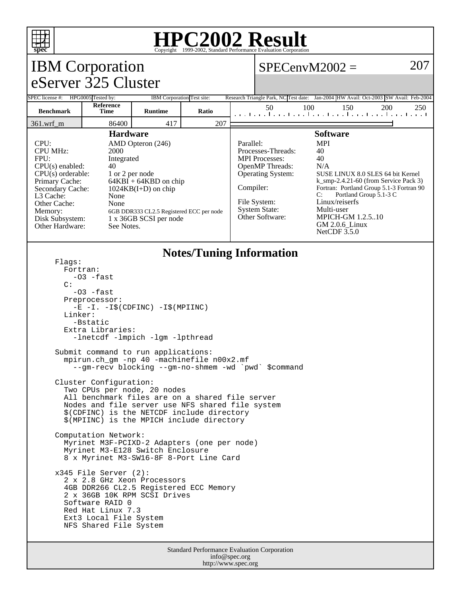

## **HPC2002 Result**

| spec<br>Copyright @1999-2002, Standard Ferrormance Evanuation Corporation                                                                                                                                                                                                                                                                                                                                                                                                                                                                                                                                                                                                                                                                                                                                                                                                                                                                                                                                                           |                          |                            |       |                        |                                                                                                                                                                                                                                                                                                                                                                                                                                                       |     |     |     |     |
|-------------------------------------------------------------------------------------------------------------------------------------------------------------------------------------------------------------------------------------------------------------------------------------------------------------------------------------------------------------------------------------------------------------------------------------------------------------------------------------------------------------------------------------------------------------------------------------------------------------------------------------------------------------------------------------------------------------------------------------------------------------------------------------------------------------------------------------------------------------------------------------------------------------------------------------------------------------------------------------------------------------------------------------|--------------------------|----------------------------|-------|------------------------|-------------------------------------------------------------------------------------------------------------------------------------------------------------------------------------------------------------------------------------------------------------------------------------------------------------------------------------------------------------------------------------------------------------------------------------------------------|-----|-----|-----|-----|
| <b>IBM</b> Corporation                                                                                                                                                                                                                                                                                                                                                                                                                                                                                                                                                                                                                                                                                                                                                                                                                                                                                                                                                                                                              |                          |                            |       |                        | 207<br>$SPECenvM2002 =$                                                                                                                                                                                                                                                                                                                                                                                                                               |     |     |     |     |
| eServer 325 Cluster                                                                                                                                                                                                                                                                                                                                                                                                                                                                                                                                                                                                                                                                                                                                                                                                                                                                                                                                                                                                                 |                          |                            |       |                        |                                                                                                                                                                                                                                                                                                                                                                                                                                                       |     |     |     |     |
| SPEC license #: HPG0005 Tested by:                                                                                                                                                                                                                                                                                                                                                                                                                                                                                                                                                                                                                                                                                                                                                                                                                                                                                                                                                                                                  |                          | IBM Corporation Test site: |       |                        | Research Triangle Park, NC Test date: Jan-2004 HW Avail: Oct-2003 SW Avail: Feb-2004                                                                                                                                                                                                                                                                                                                                                                  |     |     |     |     |
| <b>Benchmark</b>                                                                                                                                                                                                                                                                                                                                                                                                                                                                                                                                                                                                                                                                                                                                                                                                                                                                                                                                                                                                                    | Reference<br><b>Time</b> | <b>Runtime</b>             | Ratio |                        | 50                                                                                                                                                                                                                                                                                                                                                                                                                                                    | 100 | 150 | 200 | 250 |
| 361.wrf_m                                                                                                                                                                                                                                                                                                                                                                                                                                                                                                                                                                                                                                                                                                                                                                                                                                                                                                                                                                                                                           | 86400                    | 417                        | 207   |                        |                                                                                                                                                                                                                                                                                                                                                                                                                                                       |     |     |     |     |
| <b>Hardware</b><br>CPU:<br>AMD Opteron (246)<br><b>CPU MHz:</b><br>2000<br>FPU:<br>Integrated<br>CPU(s) enabled:<br>40<br>$CPU(s)$ orderable:<br>1 or 2 per node<br>Primary Cache:<br>$64KBI + 64KBD$ on chip<br>Secondary Cache:<br>$1024KB(I+D)$ on chip<br>L3 Cache:<br>None<br>Other Cache:<br>None<br>Memory:<br>6GB DDR333 CL2.5 Registered ECC per node<br>1 x 36GB SCSI per node<br>Disk Subsystem:<br>Other Hardware:<br>See Notes.                                                                                                                                                                                                                                                                                                                                                                                                                                                                                                                                                                                        |                          |                            |       | Parallel:<br>Compiler: | <b>Software</b><br><b>MPI</b><br>Processes-Threads:<br>40<br>40<br><b>MPI</b> Processes:<br>OpenMP Threads:<br>N/A<br>Operating System:<br>SUSE LINUX 8.0 SLES 64 bit Kernel<br>$k$ _smp-2.4.21-60 (from Service Pack 3)<br>Fortran: Portland Group 5.1-3 Fortran 90<br>Portland Group 5.1-3 C<br>C:<br>File System:<br>Linux/reiserfs<br><b>System State:</b><br>Multi-user<br>Other Software:<br>MPICH-GM 1.2.510<br>GM 2.0.6_Linux<br>NetCDF 3.5.0 |     |     |     |     |
| <b>Notes/Tuning Information</b><br>Flags:<br>Fortran:<br>$-03$ $-fast$<br>C:<br>$-03$ $-fast$<br>Preprocessor:<br>$-E$ $-I. -I\$ (CDFINC) $-I\$ (MPIINC)<br>Linker:<br>-Bstatic<br>Extra Libraries:<br>-lnetcdf -lmpich -lgm -lpthread<br>Submit command to run applications:<br>mpirun.ch_gm -np 40 -machinefile n00x2.mf<br>--gm-recv blocking --gm-no-shmem -wd `pwd` \$command<br>Cluster Configuration:<br>Two CPUs per node, 20 nodes<br>All benchmark files are on a shared file server<br>Nodes and file server use NFS shared file system<br>\$(CDFINC) is the NETCDF include directory<br>\$(MPIINC) is the MPICH include directory<br>Computation Network:<br>Myrinet M3F-PCIXD-2 Adapters (one per node)<br>Myrinet M3-E128 Switch Enclosure<br>8 x Myrinet M3-SW16-8F 8-Port Line Card<br>$x345$ File Server (2):<br>2 x 2.8 GHz Xeon Processors<br>4GB DDR266 CL2.5 Registered ECC Memory<br>2 x 36GB 10K RPM SCSI Drives<br>Software RAID 0<br>Red Hat Linux 7.3<br>Ext3 Local File System<br>NFS Shared File System |                          |                            |       |                        |                                                                                                                                                                                                                                                                                                                                                                                                                                                       |     |     |     |     |
| Standard Performance Evaluation Corporation<br>$\int$ info @ spec or $\sigma$                                                                                                                                                                                                                                                                                                                                                                                                                                                                                                                                                                                                                                                                                                                                                                                                                                                                                                                                                       |                          |                            |       |                        |                                                                                                                                                                                                                                                                                                                                                                                                                                                       |     |     |     |     |

info@spec.org http://www.spec.org